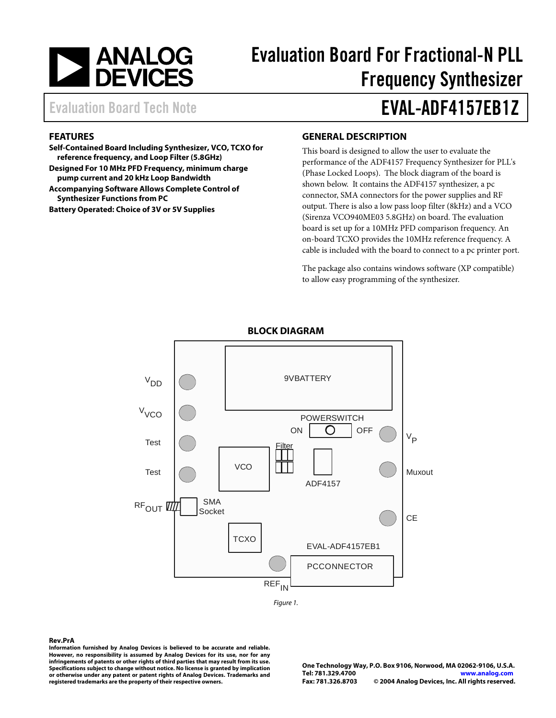

# Evaluation Board For Fractional-N PLL Frequency Synthesizer

# Evaluation Board Tech Note **EVAL-ADF4157EB1Z**

#### **FEATURES**

**Self-Contained Board Including Synthesizer, VCO, TCXO for reference frequency, and Loop Filter (5.8GHz)** 

**Designed For 10 MHz PFD Frequency, minimum charge pump current and 20 kHz Loop Bandwidth** 

**Accompanying Software Allows Complete Control of Synthesizer Functions from PC** 

**Battery Operated: Choice of 3V or 5V Supplies** 

#### **GENERAL DESCRIPTION**

This board is designed to allow the user to evaluate the performance of the ADF4157 Frequency Synthesizer for PLL's (Phase Locked Loops). The block diagram of the board is shown below. It contains the ADF4157 synthesizer, a pc connector, SMA connectors for the power supplies and RF output. There is also a low pass loop filter (8kHz) and a VCO (Sirenza VCO940ME03 5.8GHz) on board. The evaluation board is set up for a 10MHz PFD comparison frequency. An on-board TCXO provides the 10MHz reference frequency. A cable is included with the board to connect to a pc printer port.

The package also contains windows software (XP compatible) to allow easy programming of the synthesizer.



### **BLOCK DIAGRAM**

Figure 1.

#### **Rev.PrA**

**Information furnished by Analog Devices is believed to be accurate and reliable. However, no responsibility is assumed by Analog Devices for its use, nor for any infringements of patents or other rights of third parties that may result from its use. Specifications subject to change without notice. No license is granted by implication or otherwise under any patent or patent rights of Analog Devices. Trademarks and registered trademarks are the property of their respective owners.**

**One Technology Way, P.O. Box 9106, Norwood, MA 02062-9106, U.S.A. Tel: 781.329.4700 www.analog.com Fax: 781.326.8703 © 2004 Analog Devices, Inc. All rights reserved.**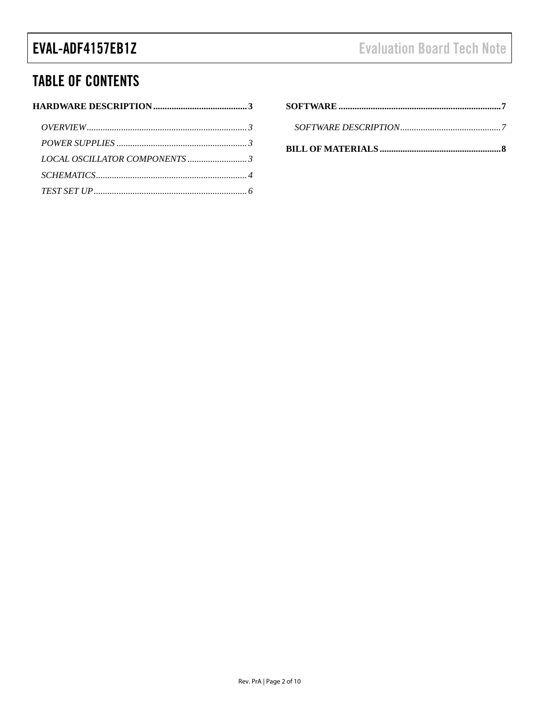## EVAL-ADF4157EB1Z

## **TABLE OF CONTENTS**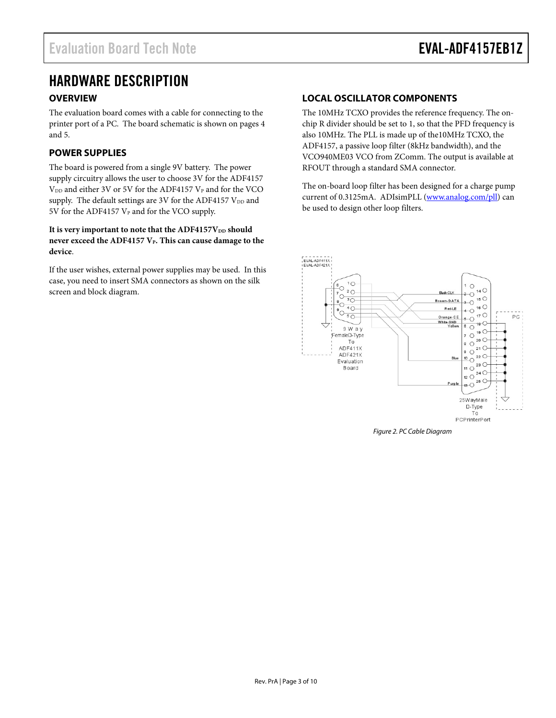## HARDWARE DESCRIPTION

### **OVERVIEW**

The evaluation board comes with a cable for connecting to the printer port of a PC. The board schematic is shown on pages 4 and 5.

### **POWER SUPPLIES**

The board is powered from a single 9V battery. The power supply circuitry allows the user to choose 3V for the ADF4157  $V_{DD}$  and either 3V or 5V for the ADF4157  $V_{P}$  and for the VCO supply. The default settings are 3V for the ADF4157  $V_{DD}$  and 5V for the ADF4157  $V_P$  and for the VCO supply.

#### It is very important to note that the ADF4157V<sub>DD</sub> should never exceed the ADF4157 V<sub>P</sub>. This can cause damage to the **device**.

If the user wishes, external power supplies may be used. In this case, you need to insert SMA connectors as shown on the silk screen and block diagram.

### **LOCAL OSCILLATOR COMPONENTS**

The 10MHz TCXO provides the reference frequency. The onchip R divider should be set to 1, so that the PFD frequency is also 10MHz. The PLL is made up of the10MHz TCXO, the ADF4157, a passive loop filter (8kHz bandwidth), and the VCO940ME03 VCO from ZComm. The output is available at RFOUT through a standard SMA connector.

The on-board loop filter has been designed for a charge pump current of 0.3125mA. ADIsimPLL (www.analog.com/pll) can be used to design other loop filters.



Figure 2. PC Cable Diagram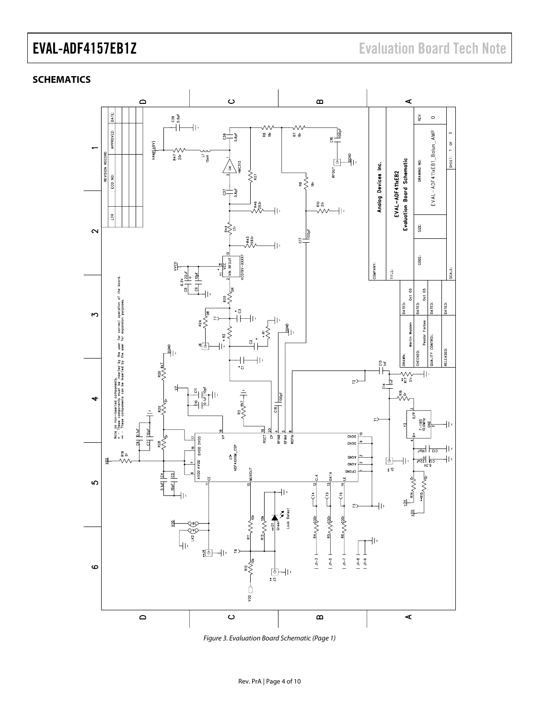### **SCHEMATICS**



Figure 3. Evaluation Board Schematic (Page 1)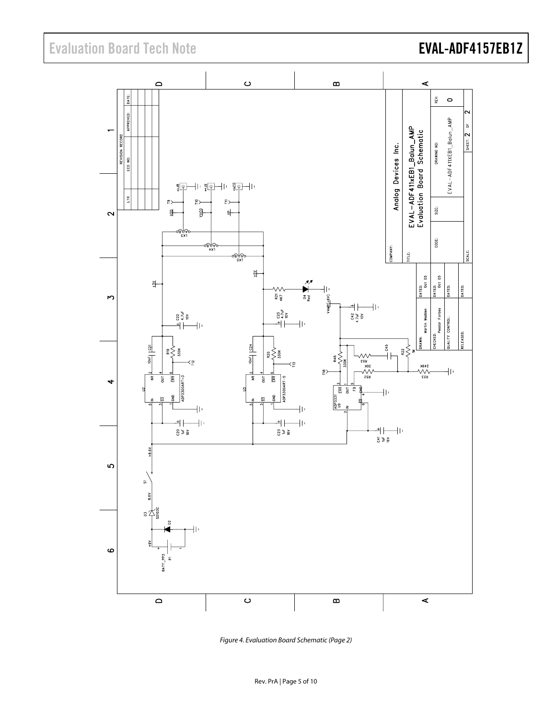## Evaluation Board Tech Note **EVAL-ADF4157EB1Z**



Figure 4. Evaluation Board Schematic (Page 2)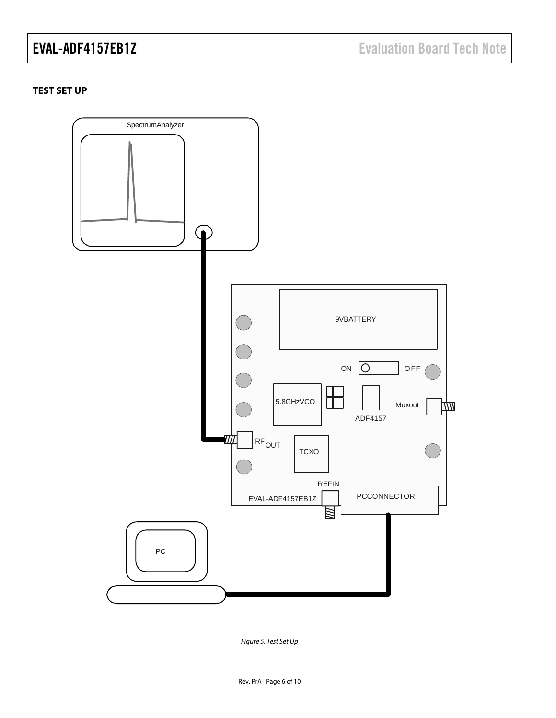### **TEST SET UP**



Figure 5. Test Set Up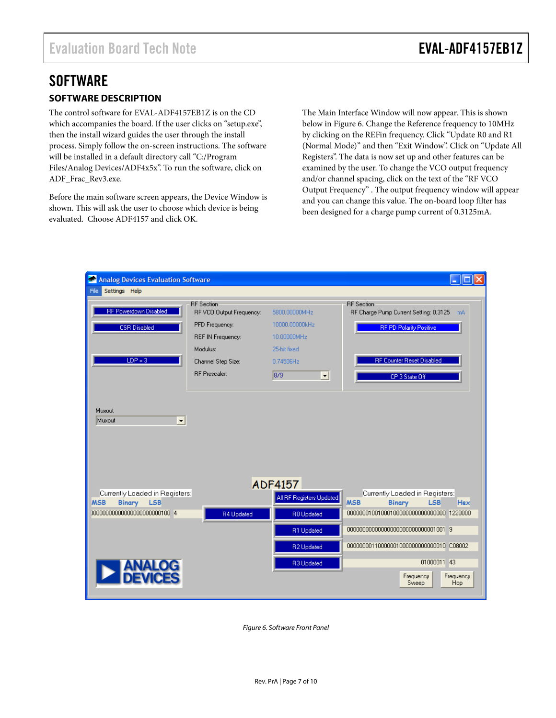# **SOFTWARE**

## **SOFTWARE DESCRIPTION**

The control software for EVAL-ADF4157EB1Z is on the CD which accompanies the board. If the user clicks on "setup.exe", then the install wizard guides the user through the install process. Simply follow the on-screen instructions. The software will be installed in a default directory call "C:/Program Files/Analog Devices/ADF4x5x". To run the software, click on ADF\_Frac\_Rev3.exe.

Before the main software screen appears, the Device Window is shown. This will ask the user to choose which device is being evaluated. Choose ADF4157 and click OK.

The Main Interface Window will now appear. This is shown below in Figure 6. Change the Reference frequency to 10MHz by clicking on the REFin frequency. Click "Update R0 and R1 (Normal Mode)" and then "Exit Window". Click on "Update All Registers". The data is now set up and other features can be examined by the user. To change the VCO output frequency and/or channel spacing, click on the text of the "RF VCO Output Frequency" . The output frequency window will appear and you can change this value. The on-board loop filter has been designed for a charge pump current of 0.3125mA.



Figure 6. Software Front Panel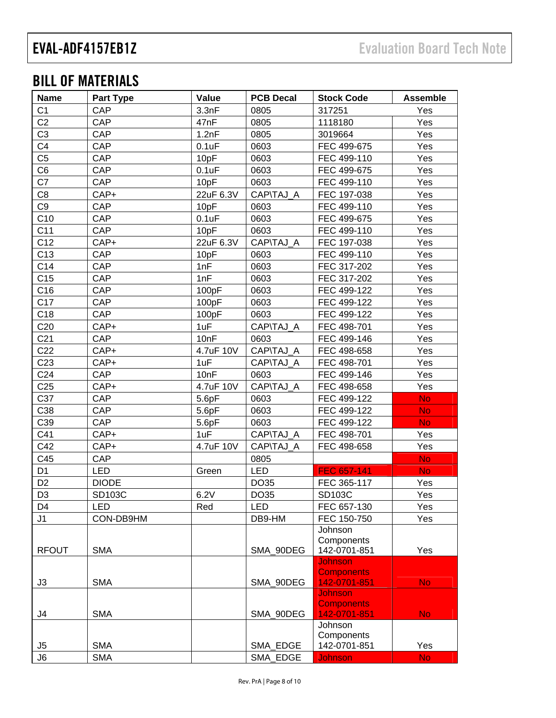## BILL OF MATERIALS

| <b>Name</b>     | <b>Part Type</b> | Value     | <b>PCB Decal</b> | <b>Stock Code</b>              | <b>Assemble</b> |
|-----------------|------------------|-----------|------------------|--------------------------------|-----------------|
| C <sub>1</sub>  | CAP              | 3.3nF     | 0805             | 317251                         | Yes             |
| C <sub>2</sub>  | <b>CAP</b>       | 47nF      | 0805             | 1118180                        | Yes             |
| C <sub>3</sub>  | <b>CAP</b>       | 1.2nF     | 0805             | 3019664                        | Yes             |
| C <sub>4</sub>  | CAP              | 0.1uF     | 0603             | FEC 499-675                    | Yes             |
| C <sub>5</sub>  | CAP              | 10pF      | 0603             | FEC 499-110                    | Yes             |
| C <sub>6</sub>  | CAP              | 0.1uF     | 0603             | FEC 499-675                    | Yes             |
| C7              | CAP              | 10pF      | 0603             | FEC 499-110                    | Yes             |
| C <sub>8</sub>  | CAP+             | 22uF 6.3V | CAP\TAJ_A        | FEC 197-038                    | Yes             |
| C <sub>9</sub>  | <b>CAP</b>       | 10pF      | 0603             | FEC 499-110                    | Yes             |
| C10             | <b>CAP</b>       | 0.1uF     | 0603             | FEC 499-675                    | Yes             |
| C11             | CAP              | 10pF      | 0603             | FEC 499-110                    | Yes             |
| C12             | CAP+             | 22uF 6.3V | CAP\TAJ_A        | FEC 197-038                    | Yes             |
| C13             | CAP              | 10pF      | 0603             | FEC 499-110                    | Yes             |
| C14             | <b>CAP</b>       | 1nF       | 0603             | FEC 317-202                    | Yes             |
| C15             | CAP              | 1nF       | 0603             | FEC 317-202                    | Yes             |
| C16             | CAP              | 100pF     | 0603             | FEC 499-122                    | Yes             |
| C17             | CAP              | 100pF     | 0603             | FEC 499-122                    | Yes             |
| C18             | CAP              | 100pF     | 0603             | FEC 499-122                    | Yes             |
| C <sub>20</sub> | CAP+             | 1uF       | CAP\TAJ_A        | FEC 498-701                    | Yes             |
| C <sub>21</sub> | CAP              | 10nF      | 0603             | FEC 499-146                    | Yes             |
| C <sub>22</sub> | CAP+             | 4.7uF 10V | CAP\TAJ A        | FEC 498-658                    | Yes             |
| C <sub>23</sub> | CAP+             | 1uF       | CAP\TAJ_A        | FEC 498-701                    | Yes             |
| C <sub>24</sub> | CAP              | 10nF      | 0603             | FEC 499-146                    | Yes             |
| C <sub>25</sub> | CAP+             | 4.7uF 10V | CAP\TAJ_A        | FEC 498-658                    | Yes             |
| C37             | CAP              | 5.6pF     | 0603             | FEC 499-122                    | <b>No</b>       |
| C38             | CAP              | 5.6pF     | 0603             | FEC 499-122                    | <b>No</b>       |
| C39             | CAP              | 5.6pF     | 0603             | FEC 499-122                    | <b>No</b>       |
| C41             | CAP+             | 1uF       | CAP\TAJ_A        | FEC 498-701                    | Yes             |
| C42             | CAP+             | 4.7uF 10V | CAP\TAJ A        | FEC 498-658                    | Yes             |
| C45             | CAP              |           | 0805             |                                | <b>No</b>       |
| D <sub>1</sub>  | <b>LED</b>       | Green     | <b>LED</b>       | FEC 657-141                    | <b>No</b>       |
| D <sub>2</sub>  | <b>DIODE</b>     |           | DO35             | FEC 365-117                    | Yes             |
| D <sub>3</sub>  | SD103C           | 6.2V      | DO35             | SD103C                         | Yes             |
| D4              | <b>LED</b>       | Red       | LED              | FEC 657-130                    | Yes             |
| J1              | CON-DB9HM        |           | DB9-HM           | FEC 150-750                    | Yes             |
|                 |                  |           |                  | Johnson                        |                 |
|                 |                  |           |                  | Components                     |                 |
| <b>RFOUT</b>    | <b>SMA</b>       |           | SMA_90DEG        | 142-0701-851<br><b>Johnson</b> | Yes             |
|                 |                  |           |                  | <b>Components</b>              |                 |
| J3              | <b>SMA</b>       |           | SMA_90DEG        | 142-0701-851                   | No.             |
|                 |                  |           |                  | <b>Johnson</b>                 |                 |
|                 |                  |           |                  | <b>Components</b>              |                 |
| J4              | <b>SMA</b>       |           | SMA_90DEG        | 142-0701-851                   | <b>No</b>       |
|                 |                  |           |                  | Johnson                        |                 |
| J5              | <b>SMA</b>       |           | SMA_EDGE         | Components<br>142-0701-851     | Yes             |
| J6              | <b>SMA</b>       |           | SMA_EDGE         | <b>Johnson</b>                 | <b>No</b>       |
|                 |                  |           |                  |                                |                 |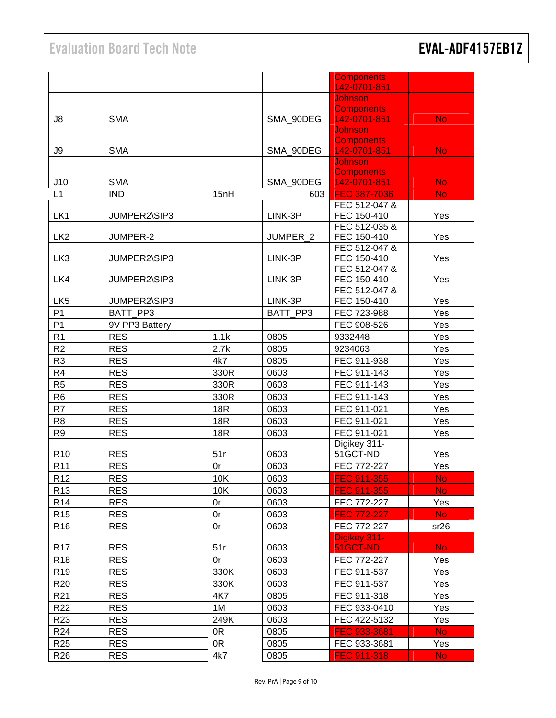|                 |                |            |           | <b>Components</b>              |           |
|-----------------|----------------|------------|-----------|--------------------------------|-----------|
|                 |                |            |           | 142-0701-851                   |           |
|                 |                |            |           | <b>Johnson</b>                 |           |
|                 |                |            |           | <b>Components</b>              |           |
| J8              | <b>SMA</b>     |            | SMA 90DEG | 142-0701-851                   | No.       |
|                 |                |            |           | Johnson                        |           |
|                 |                |            |           | <b>Components</b>              |           |
| J9              | <b>SMA</b>     |            | SMA 90DEG | 142-0701-851<br><b>Johnson</b> | No.       |
|                 |                |            |           | <b>Components</b>              |           |
| J10             | <b>SMA</b>     |            | SMA_90DEG | 142-0701-851                   | No.       |
| L1              | <b>IND</b>     | 15nH       | 603       | FEC 387-7036                   | <b>No</b> |
|                 |                |            |           | FEC 512-047 &                  |           |
| LK1             | JUMPER2\SIP3   |            | LINK-3P   | FEC 150-410                    | Yes       |
|                 |                |            |           | FEC 512-035 &                  |           |
| LK <sub>2</sub> | JUMPER-2       |            | JUMPER_2  | FEC 150-410                    | Yes       |
|                 |                |            |           | FEC 512-047 &                  |           |
| LK <sub>3</sub> | JUMPER2\SIP3   |            | LINK-3P   | FEC 150-410                    | Yes       |
|                 |                |            |           | FEC 512-047 &                  |           |
| LK4             | JUMPER2\SIP3   |            | LINK-3P   | FEC 150-410                    | Yes       |
|                 |                |            |           | FEC 512-047 &                  |           |
| LK <sub>5</sub> | JUMPER2\SIP3   |            | LINK-3P   | FEC 150-410                    | Yes       |
| P <sub>1</sub>  | BATT PP3       |            | BATT PP3  | FEC 723-988                    | Yes       |
| P <sub>1</sub>  | 9V PP3 Battery |            |           | FEC 908-526                    | Yes       |
| R <sub>1</sub>  | <b>RES</b>     | 1.1k       | 0805      | 9332448                        | Yes       |
| R <sub>2</sub>  | <b>RES</b>     | 2.7k       | 0805      | 9234063                        | Yes       |
| R <sub>3</sub>  | <b>RES</b>     | 4k7        | 0805      | FEC 911-938                    | Yes       |
| R4              | <b>RES</b>     | 330R       | 0603      | FEC 911-143                    | Yes       |
| R <sub>5</sub>  | <b>RES</b>     | 330R       | 0603      | FEC 911-143                    | Yes       |
| R <sub>6</sub>  | <b>RES</b>     | 330R       | 0603      | FEC 911-143                    | Yes       |
| R7              | <b>RES</b>     | <b>18R</b> | 0603      | FEC 911-021                    | Yes       |
| R <sub>8</sub>  | <b>RES</b>     | <b>18R</b> | 0603      | FEC 911-021                    | Yes       |
| R <sub>9</sub>  | <b>RES</b>     | 18R        | 0603      | FEC 911-021                    | Yes       |
|                 |                |            |           | Digikey 311-                   |           |
| R <sub>10</sub> | <b>RES</b>     | 51r        | 0603      | 51GCT-ND                       | Yes       |
| R <sub>11</sub> | <b>RES</b>     | 0r         | 0603      | FEC 772-227                    | Yes       |
| R <sub>12</sub> | <b>RES</b>     | 10K        | 0603      | FEC 911-355                    | <b>No</b> |
| R <sub>13</sub> | <b>RES</b>     | 10K        | 0603      | FEC 911-355                    | No.       |
| R <sub>14</sub> | <b>RES</b>     |            |           |                                | Yes       |
|                 | <b>RES</b>     | 0r         | 0603      | FEC 772-227                    |           |
| R <sub>15</sub> |                | 0r         | 0603      | FEC 772-227                    | No.       |
| R <sub>16</sub> | <b>RES</b>     | 0r         | 0603      | FEC 772-227                    | sr26      |
| R <sub>17</sub> | <b>RES</b>     | 51r        | 0603      | Digikey 311-<br>51GCT-ND       | <b>No</b> |
|                 |                |            |           |                                |           |
| R <sub>18</sub> | <b>RES</b>     | 0r         | 0603      | FEC 772-227                    | Yes       |
| R <sub>19</sub> | <b>RES</b>     | 330K       | 0603      | FEC 911-537                    | Yes       |
| R <sub>20</sub> | <b>RES</b>     | 330K       | 0603      | FEC 911-537                    | Yes       |
| R <sub>21</sub> | <b>RES</b>     | 4K7        | 0805      | FEC 911-318                    | Yes       |
| R22             | <b>RES</b>     | 1M         | 0603      | FEC 933-0410                   | Yes       |
| R <sub>23</sub> | <b>RES</b>     | 249K       | 0603      | FEC 422-5132                   | Yes       |
| R <sub>24</sub> | <b>RES</b>     | 0R         | 0805      | FEC 933-3681                   | No.       |
| R <sub>25</sub> | <b>RES</b>     | 0R         | 0805      | FEC 933-3681                   | Yes       |
| R <sub>26</sub> | <b>RES</b>     | 4k7        | 0805      | FEC 911-318                    | No.       |